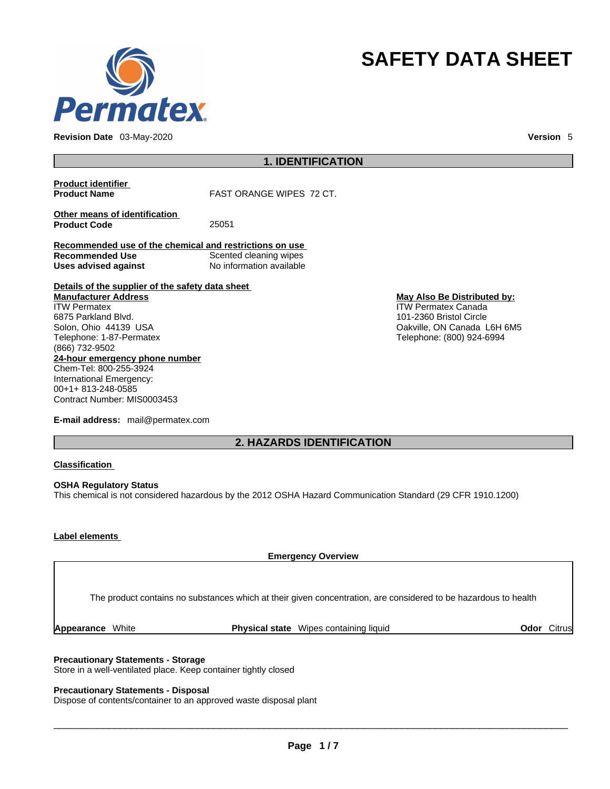

**Revision Date** 03-May-2020 **Version** 5

# **SAFETY DATA SHEET**

**1. IDENTIFICATION** 

**Product identifier**

**FAST ORANGE WIPES 72 CT.** 

**Other means of identification**<br>**Product Code** 25051 **Product Code** 

**Recommended use of the chemical and restrictions on use Recommended Use** Scented cleaning wipes **Uses advised against** No information available

**Details of the supplier of the safety data sheet 24-hour emergency phone number** Chem-Tel: 800-255-3924 International Emergency: 00+1+ 813-248-0585 Contract Number: MIS0003453 **Manufacturer Address** ITW Permatex 6875 Parkland Blvd. Solon, Ohio 44139 USA Telephone: 1-87-Permatex (866) 732-9502

**E-mail address:** mail@permatex.com

**May Also Be Distributed by:** ITW Permatex Canada

101-2360 Bristol Circle Oakville, ON Canada L6H 6M5 Telephone: (800) 924-6994

**2. HAZARDS IDENTIFICATION** 

### **Classification**

**OSHA Regulatory Status** This chemical is not considered hazardous by the 2012 OSHA Hazard Communication Standard (29 CFR 1910.1200)

## **Label elements**

The product contains no substances which at their given concentration, are considered to be hazardous to health

**Emergency Overview** 

**Appearance** White **Physical state** Wipes containing liquid **Odor** Citrus

### **Precautionary Statements - Storage**

Store in a well-ventilated place. Keep container tightly closed

## **Precautionary Statements - Disposal**

Dispose of contents/container to an approved waste disposal plant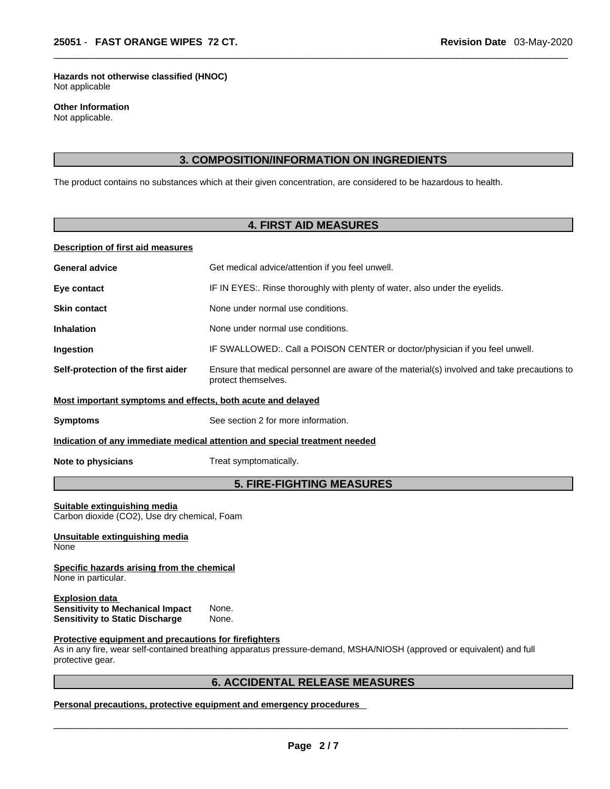**Hazards not otherwise classified (HNOC)**  Not applicable

**Other Information**  Not applicable.

# **3. COMPOSITION/INFORMATION ON INGREDIENTS**

The product contains no substances which at their given concentration, are considered to be hazardous to health.

# **4. FIRST AID MEASURES**

## **Description of first aid measures**

| <b>General advice</b>                                                                                                  | Get medical advice/attention if you feel unwell.                                                                      |  |  |
|------------------------------------------------------------------------------------------------------------------------|-----------------------------------------------------------------------------------------------------------------------|--|--|
| Eye contact                                                                                                            | IF IN EYES:. Rinse thoroughly with plenty of water, also under the eyelids.                                           |  |  |
| <b>Skin contact</b>                                                                                                    | None under normal use conditions.                                                                                     |  |  |
| <b>Inhalation</b>                                                                                                      | None under normal use conditions.                                                                                     |  |  |
| Ingestion                                                                                                              | IF SWALLOWED:. Call a POISON CENTER or doctor/physician if you feel unwell.                                           |  |  |
| Self-protection of the first aider                                                                                     | Ensure that medical personnel are aware of the material(s) involved and take precautions to<br>protect themselves.    |  |  |
| Most important symptoms and effects, both acute and delayed                                                            |                                                                                                                       |  |  |
| <b>Symptoms</b>                                                                                                        | See section 2 for more information.                                                                                   |  |  |
|                                                                                                                        | Indication of any immediate medical attention and special treatment needed                                            |  |  |
| Note to physicians                                                                                                     | Treat symptomatically.                                                                                                |  |  |
|                                                                                                                        | <b>5. FIRE-FIGHTING MEASURES</b>                                                                                      |  |  |
| Suitable extinguishing media<br>Carbon dioxide (CO2), Use dry chemical, Foam<br>Unsuitable extinguishing media<br>None |                                                                                                                       |  |  |
| Specific hazards arising from the chemical<br>None in particular.                                                      |                                                                                                                       |  |  |
| <b>Explosion data</b><br><b>Sensitivity to Mechanical Impact</b><br><b>Sensitivity to Static Discharge</b>             | None.<br>None.                                                                                                        |  |  |
| Protective equipment and precautions for firefighters<br>protective gear.                                              | As in any fire, wear self-contained breathing apparatus pressure-demand, MSHA/NIOSH (approved or equivalent) and full |  |  |
|                                                                                                                        | <b>6. ACCIDENTAL RELEASE MEASURES</b>                                                                                 |  |  |

**Personal precautions, protective equipment and emergency procedures**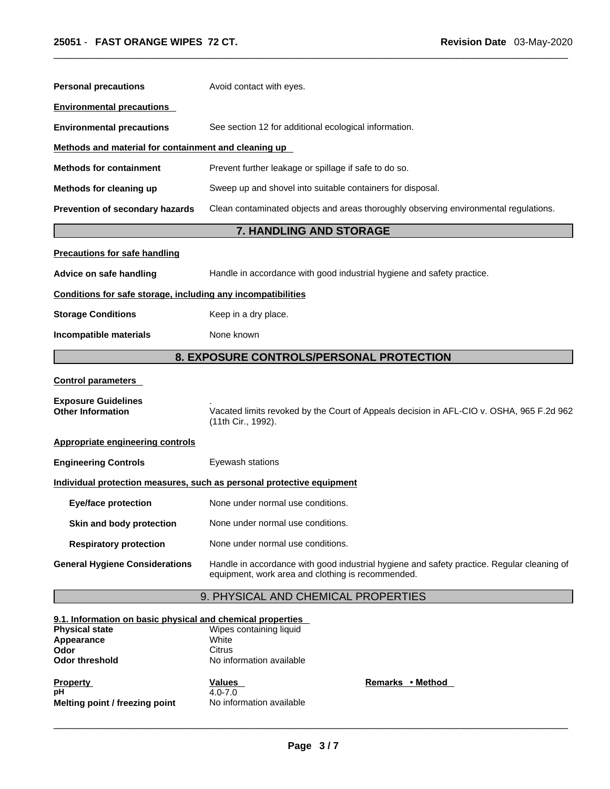| <b>Personal precautions</b>                                                                                                        | Avoid contact with eyes.                                                                                                                        |  |  |
|------------------------------------------------------------------------------------------------------------------------------------|-------------------------------------------------------------------------------------------------------------------------------------------------|--|--|
| <b>Environmental precautions</b>                                                                                                   |                                                                                                                                                 |  |  |
| <b>Environmental precautions</b>                                                                                                   | See section 12 for additional ecological information.                                                                                           |  |  |
| Methods and material for containment and cleaning up                                                                               |                                                                                                                                                 |  |  |
| <b>Methods for containment</b>                                                                                                     | Prevent further leakage or spillage if safe to do so.                                                                                           |  |  |
| Methods for cleaning up                                                                                                            | Sweep up and shovel into suitable containers for disposal.                                                                                      |  |  |
| Prevention of secondary hazards                                                                                                    | Clean contaminated objects and areas thoroughly observing environmental regulations.                                                            |  |  |
|                                                                                                                                    | 7. HANDLING AND STORAGE                                                                                                                         |  |  |
| <b>Precautions for safe handling</b>                                                                                               |                                                                                                                                                 |  |  |
| Advice on safe handling                                                                                                            | Handle in accordance with good industrial hygiene and safety practice.                                                                          |  |  |
| Conditions for safe storage, including any incompatibilities                                                                       |                                                                                                                                                 |  |  |
| <b>Storage Conditions</b>                                                                                                          | Keep in a dry place.                                                                                                                            |  |  |
| Incompatible materials                                                                                                             | None known                                                                                                                                      |  |  |
|                                                                                                                                    | 8. EXPOSURE CONTROLS/PERSONAL PROTECTION                                                                                                        |  |  |
| <b>Control parameters</b>                                                                                                          |                                                                                                                                                 |  |  |
| <b>Exposure Guidelines</b><br><b>Other Information</b>                                                                             | Vacated limits revoked by the Court of Appeals decision in AFL-CIO v. OSHA, 965 F.2d 962<br>(11th Cir., 1992).                                  |  |  |
| <b>Appropriate engineering controls</b>                                                                                            |                                                                                                                                                 |  |  |
| <b>Engineering Controls</b>                                                                                                        | Eyewash stations                                                                                                                                |  |  |
|                                                                                                                                    | Individual protection measures, such as personal protective equipment                                                                           |  |  |
| <b>Eye/face protection</b>                                                                                                         | None under normal use conditions.                                                                                                               |  |  |
| Skin and body protection                                                                                                           | None under normal use conditions.                                                                                                               |  |  |
| <b>Respiratory protection</b>                                                                                                      | None under normal use conditions.                                                                                                               |  |  |
| <b>General Hygiene Considerations</b>                                                                                              | Handle in accordance with good industrial hygiene and safety practice. Regular cleaning of<br>equipment, work area and clothing is recommended. |  |  |
|                                                                                                                                    | 9. PHYSICAL AND CHEMICAL PROPERTIES                                                                                                             |  |  |
| 9.1. Information on basic physical and chemical properties<br><b>Physical state</b><br>Appearance<br>Odor<br><b>Odor threshold</b> | Wipes containing liquid<br>White<br><b>Citrus</b><br>No information available                                                                   |  |  |

| <b>Property</b>                | Values                   | Remarks • Method |
|--------------------------------|--------------------------|------------------|
| рH                             | $4.0 - 7.0$              |                  |
| Melting point / freezing point | No information available |                  |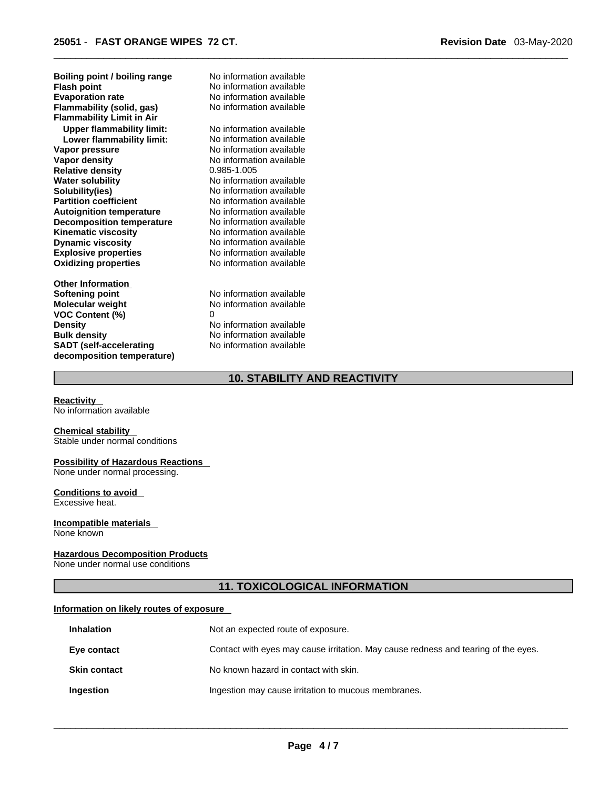**Explosive properties**<br> **Oxidizing properties**<br>
No information available **Oxidizing properties Boiling point / boiling range** No information available **Flash point** No information available **Evaporation rate** No information available **Flammability (solid, gas)** No information available **Flammability Limit in Air Upper flammability limit:** No information available **Lower flammability limit:** No information available **Vapor pressure** No information available **Vapor density No information available Relative density** 0.985-1.005 **Water solubility <br>
<b>Solubility (ies)** Mo information available<br>
No information available **Partition coefficient**<br> **Autoignition temperature**<br>
No information available **Autoignition temperature No information available**<br> **Decomposition temperature No information available Decomposition temperature**<br>**Kinematic viscosity Kinematic viscosity**<br> **Channic viscosity**<br>
No information available<br>
No information available

**Other Information Softening point** No information available **Molecular weight** No information available **VOC Content (%)** 0 **Density Density Density No information available Bulk density No information available SADT (self-accelerating decomposition temperature)**

**No information available** 

**Dynamic viscosity** No information available

**No information available** No information available

# **10. STABILITY AND REACTIVITY**

**Reactivity** 

No information available

#### **Chemical stability**

Stable under normal conditions

# **Possibility of Hazardous Reactions**

None under normal processing.

#### **Conditions to avoid**  Excessive heat.

**Incompatible materials**  None known

#### **Hazardous Decomposition Products**

None under normal use conditions

# **11. TOXICOLOGICAL INFORMATION**

### **Information on likely routes of exposure**

| <b>Inhalation</b>   | Not an expected route of exposure.                                                 |
|---------------------|------------------------------------------------------------------------------------|
| Eye contact         | Contact with eyes may cause irritation. May cause redness and tearing of the eyes. |
| <b>Skin contact</b> | No known hazard in contact with skin.                                              |
| Ingestion           | Ingestion may cause irritation to mucous membranes.                                |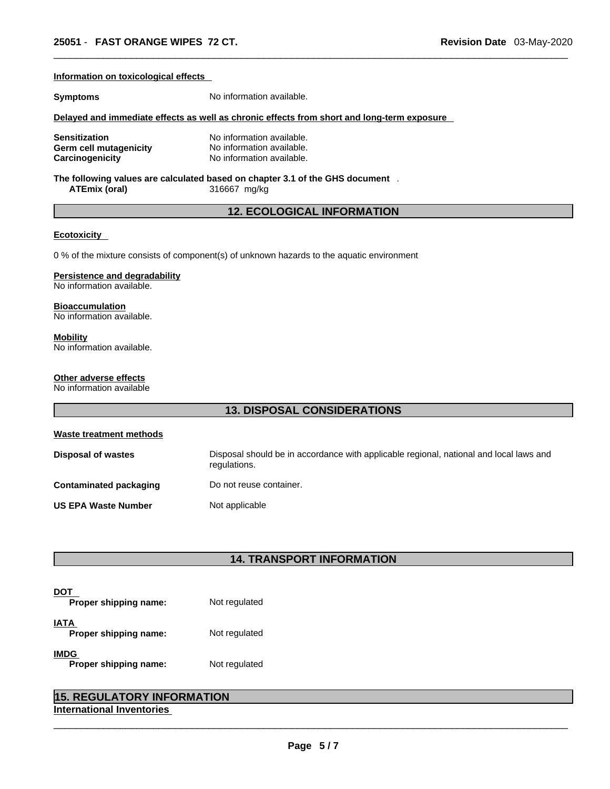| Information on toxicological effects                                     |                                                                                                        |  |
|--------------------------------------------------------------------------|--------------------------------------------------------------------------------------------------------|--|
| <b>Symptoms</b>                                                          | No information available.                                                                              |  |
|                                                                          | Delayed and immediate effects as well as chronic effects from short and long-term exposure             |  |
| <b>Sensitization</b><br><b>Germ cell mutagenicity</b><br>Carcinogenicity | No information available.<br>No information available.<br>No information available.                    |  |
| <b>ATEmix (oral)</b>                                                     | The following values are calculated based on chapter 3.1 of the GHS document .<br>316667 mg/kg         |  |
|                                                                          | <b>12. ECOLOGICAL INFORMATION</b>                                                                      |  |
| <b>Ecotoxicity</b>                                                       |                                                                                                        |  |
|                                                                          | 0 % of the mixture consists of component(s) of unknown hazards to the aquatic environment              |  |
| <b>Persistence and degradability</b><br>No information available.        |                                                                                                        |  |
| <b>Bioaccumulation</b><br>No information available.                      |                                                                                                        |  |
| <b>Mobility</b><br>No information available.                             |                                                                                                        |  |
| Other adverse effects<br>No information available                        |                                                                                                        |  |
| <b>13. DISPOSAL CONSIDERATIONS</b>                                       |                                                                                                        |  |
| <b>Waste treatment methods</b>                                           |                                                                                                        |  |
| <b>Disposal of wastes</b>                                                | Disposal should be in accordance with applicable regional, national and local laws and<br>regulations. |  |
| <b>Contaminated packaging</b>                                            | Do not reuse container.                                                                                |  |
| <b>US EPA Waste Number</b>                                               | Not applicable                                                                                         |  |

# **14. TRANSPORT INFORMATION**

| Proper shipping name:                | Not regulated |
|--------------------------------------|---------------|
| IATA<br>Proper shipping name:        | Not regulated |
| <b>IMDG</b><br>Proper shipping name: | Not regulated |

| <b>15. REGULATORY INFORMATION</b> |  |
|-----------------------------------|--|
| International Inventories         |  |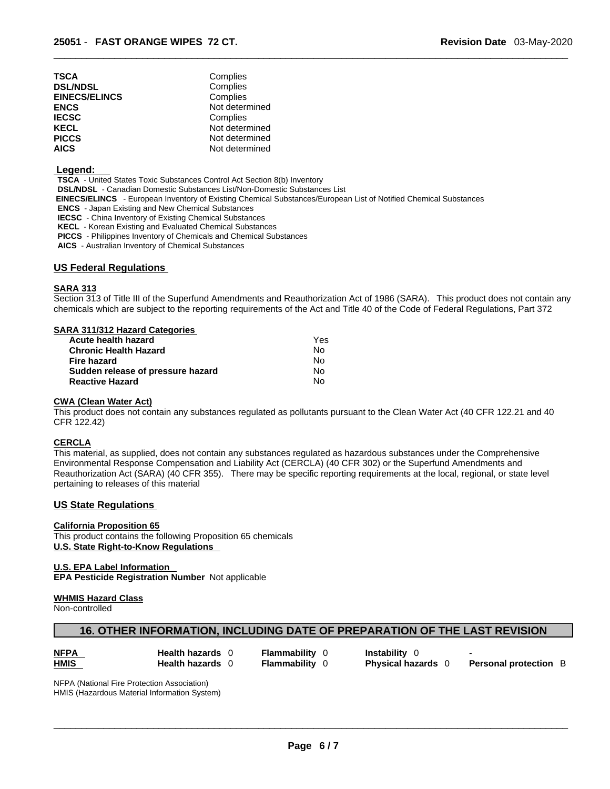| TSCA                 | Complies       |
|----------------------|----------------|
| <b>DSL/NDSL</b>      | Complies       |
| <b>EINECS/ELINCS</b> | Complies       |
| ENCS                 | Not determined |
| <b>IECSC</b>         | Complies       |
| KECL                 | Not determined |
| PICCS                | Not determined |
| AICS                 | Not determined |

#### **Legend:**

**TSCA** - United States Toxic Substances Control Act Section 8(b) Inventory **DSL/NDSL** - Canadian Domestic Substances List/Non-Domestic Substances List  **EINECS/ELINCS** - European Inventory of Existing Chemical Substances/European List of Notified Chemical Substances **ENCS** - Japan Existing and New Chemical Substances **IECSC** - China Inventory of Existing Chemical Substances **KECL** - Korean Existing and Evaluated Chemical Substances **PICCS** - Philippines Inventory of Chemicals and Chemical Substances

**AICS** - Australian Inventory of Chemical Substances

### **US Federal Regulations**

## **SARA 313**

Section 313 of Title III of the Superfund Amendments and Reauthorization Act of 1986 (SARA). This product does not contain any chemicals which are subject to the reporting requirements of the Act and Title 40 of the Code of Federal Regulations, Part 372

#### **SARA 311/312 Hazard Categories**

| Acute health hazard               | Yes |  |
|-----------------------------------|-----|--|
| <b>Chronic Health Hazard</b>      | No. |  |
| Fire hazard                       | N٥  |  |
| Sudden release of pressure hazard | No. |  |
| <b>Reactive Hazard</b>            | N٥  |  |

#### **CWA (Clean WaterAct)**

This product does not contain any substances regulated as pollutants pursuant to the Clean Water Act (40 CFR 122.21 and 40 CFR 122.42)

#### **CERCLA**

This material, as supplied, does not contain any substances regulated as hazardous substances under the Comprehensive Environmental Response Compensation and Liability Act (CERCLA) (40 CFR 302) or the Superfund Amendments and Reauthorization Act (SARA) (40 CFR 355). There may be specific reporting requirements at the local, regional, or state level pertaining to releases of this material

## **US State Regulations**

**California Proposition 65** This product contains the following Proposition 65 chemicals **U.S. State Right-to-Know Regulations** 

**U.S. EPA Label Information EPA Pesticide Registration Number** Not applicable

#### **WHMIS Hazard Class**

Non-controlled

# **16. OTHER INFORMATION, INCLUDING DATE OF PREPARATION OF THE LAST REVISION**

| <b>NFPA</b> | <b>Health hazards</b> | -lammabilitv | <b>Instability</b>      |                            |
|-------------|-----------------------|--------------|-------------------------|----------------------------|
| <b>HMIS</b> | <b>Health hazards</b> | -lammability | <b>Physical hazards</b> | <b>Personal protection</b> |

NFPA (National Fire Protection Association) HMIS (Hazardous Material Information System)